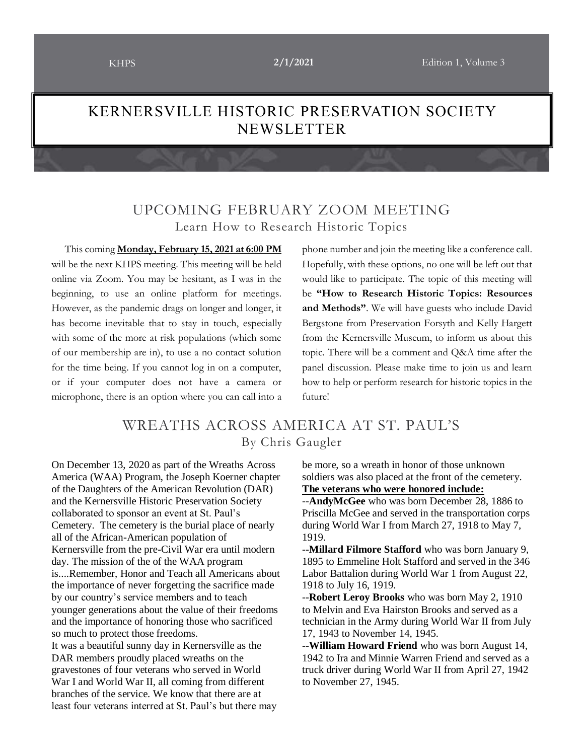## KERNERSVILLE HISTORIC PRESERVATION SOCIETY NEWSLETTER

## UPCOMING FEBRUARY ZOOM MEETING Learn How to Research Historic Topics

 This coming **Monday, February 15, 2021 at 6:00 PM** will be the next KHPS meeting. This meeting will be held online via Zoom. You may be hesitant, as I was in the beginning, to use an online platform for meetings. However, as the pandemic drags on longer and longer, it has become inevitable that to stay in touch, especially with some of the more at risk populations (which some of our membership are in), to use a no contact solution for the time being. If you cannot log in on a computer, or if your computer does not have a camera or microphone, there is an option where you can call into a phone number and join the meeting like a conference call. Hopefully, with these options, no one will be left out that would like to participate. The topic of this meeting will be **"How to Research Historic Topics: Resources and Methods"**. We will have guests who include David Bergstone from Preservation Forsyth and Kelly Hargett from the Kernersville Museum, to inform us about this topic. There will be a comment and Q&A time after the panel discussion. Please make time to join us and learn how to help or perform research for historic topics in the future!

### WREATHS ACROSS AMERICA AT ST. PAUL'S By Chris Gaugler

On December 13, 2020 as part of the Wreaths Across America (WAA) Program, the Joseph Koerner chapter of the Daughters of the American Revolution (DAR) and the Kernersville Historic Preservation Society collaborated to sponsor an event at St. Paul's Cemetery. The cemetery is the burial place of nearly all of the African-American population of Kernersville from the pre-Civil War era until modern day. The mission of the of the WAA program is....Remember, Honor and Teach all Americans about the importance of never forgetting the sacrifice made by our country's service members and to teach younger generations about the value of their freedoms and the importance of honoring those who sacrificed so much to protect those freedoms. It was a beautiful sunny day in Kernersville as the DAR members proudly placed wreaths on the

gravestones of four veterans who served in World War I and World War II, all coming from different branches of the service. We know that there are at least four veterans interred at St. Paul's but there may be more, so a wreath in honor of those unknown soldiers was also placed at the front of the cemetery. **The veterans who were honored include:**

--**AndyMcGee** who was born December 28, 1886 to Priscilla McGee and served in the transportation corps during World War I from March 27, 1918 to May 7, 1919.

--**Millard Filmore Stafford** who was born January 9, 1895 to Emmeline Holt Stafford and served in the 346 Labor Battalion during World War 1 from August 22, 1918 to July 16, 1919.

--**Robert Leroy Brooks** who was born May 2, 1910 to Melvin and Eva Hairston Brooks and served as a technician in the Army during World War II from July 17, 1943 to November 14, 1945.

--**William Howard Friend** who was born August 14, 1942 to Ira and Minnie Warren Friend and served as a truck driver during World War II from April 27, 1942 to November 27, 1945.